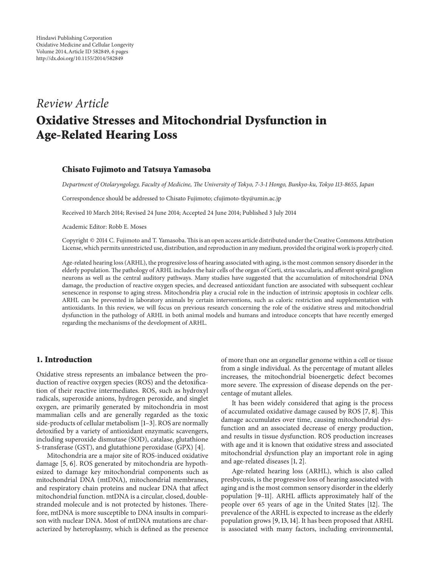# *Review Article* **Oxidative Stresses and Mitochondrial Dysfunction in Age-Related Hearing Loss**

#### **Chisato Fujimoto and Tatsuya Yamasoba**

*Department of Otolaryngology, Faculty of Medicine, The University of Tokyo, 7-3-1 Hongo, Bunkyo-ku, Tokyo 113-8655, Japan*

Correspondence should be addressed to Chisato Fujimoto; cfujimoto-tky@umin.ac.jp

Received 10 March 2014; Revised 24 June 2014; Accepted 24 June 2014; Published 3 July 2014

Academic Editor: Robb E. Moses

Copyright © 2014 C. Fujimoto and T. Yamasoba.This is an open access article distributed under the Creative Commons Attribution License, which permits unrestricted use, distribution, and reproduction in any medium, provided the original work is properly cited.

Age-related hearing loss (ARHL), the progressive loss of hearing associated with aging, is the most common sensory disorder in the elderly population. The pathology of ARHL includes the hair cells of the organ of Corti, stria vascularis, and afferent spiral ganglion neurons as well as the central auditory pathways. Many studies have suggested that the accumulation of mitochondrial DNA damage, the production of reactive oxygen species, and decreased antioxidant function are associated with subsequent cochlear senescence in response to aging stress. Mitochondria play a crucial role in the induction of intrinsic apoptosis in cochlear cells. ARHL can be prevented in laboratory animals by certain interventions, such as caloric restriction and supplementation with antioxidants. In this review, we will focus on previous research concerning the role of the oxidative stress and mitochondrial dysfunction in the pathology of ARHL in both animal models and humans and introduce concepts that have recently emerged regarding the mechanisms of the development of ARHL.

### **1. Introduction**

Oxidative stress represents an imbalance between the production of reactive oxygen species (ROS) and the detoxification of their reactive intermediates. ROS, such as hydroxyl radicals, superoxide anions, hydrogen peroxide, and singlet oxygen, are primarily generated by mitochondria in most mammalian cells and are generally regarded as the toxic side-products of cellular metabolism [1–3]. ROS are normally detoxified by a variety of antioxidant enzymatic scavengers, including superoxide dismutase (SOD), catalase, glutathione S-transferase (GST), and glutathione peroxidase (GPX) [4].

Mitochondria are a major site of ROS-induced oxidative damage [5, 6]. ROS generated by mitochondria are hypothesized to damage key mitochondrial components such as mitochondrial DNA (mtDNA), mitochondrial membranes, and respiratory chain proteins and nuclear DNA that affect mitochondrial function. mtDNA is a circular, closed, doublestranded molecule and is not protected by histones. Therefore, mtDNA is more susceptible to DNA insults in comparison with nuclear DNA. Most of mtDNA mutations are characterized by heteroplasmy, which is defined as the presence

of more than one an organellar genome within a cell or tissue from a single individual. As the percentage of mutant alleles increases, the mitochondrial bioenergetic defect becomes more severe. The expression of disease depends on the percentage of mutant alleles.

It has been widely considered that aging is the process of accumulated oxidative damage caused by ROS [7, 8]. This damage accumulates over time, causing mitochondrial dysfunction and an associated decrease of energy production, and results in tissue dysfunction. ROS production increases with age and it is known that oxidative stress and associated mitochondrial dysfunction play an important role in aging and age-related diseases [1, 2].

Age-related hearing loss (ARHL), which is also called presbycusis, is the progressive loss of hearing associated with aging and is the most common sensory disorder in the elderly population [9–11]. ARHL afflicts approximately half of the people over 65 years of age in the United States [12]. The prevalence of the ARHL is expected to increase as the elderly population grows [9, 13, 14]. It has been proposed that ARHL is associated with many factors, including environmental,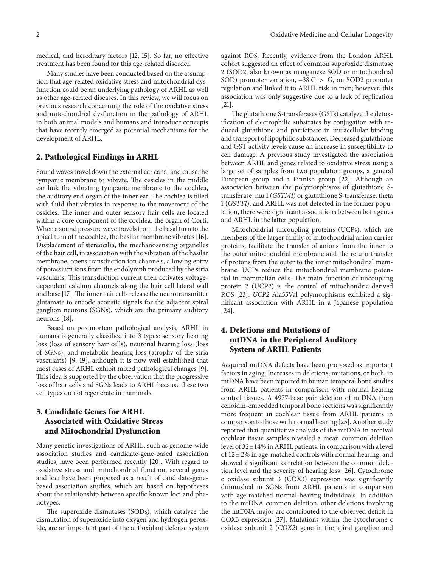medical, and hereditary factors [12, 15]. So far, no effective treatment has been found for this age-related disorder.

Many studies have been conducted based on the assumption that age-related oxidative stress and mitochondrial dysfunction could be an underlying pathology of ARHL as well as other age-related diseases. In this review, we will focus on previous research concerning the role of the oxidative stress and mitochondrial dysfunction in the pathology of ARHL in both animal models and humans and introduce concepts that have recently emerged as potential mechanisms for the development of ARHL.

### **2. Pathological Findings in ARHL**

Sound waves travel down the external ear canal and cause the tympanic membrane to vibrate. The ossicles in the middle ear link the vibrating tympanic membrane to the cochlea, the auditory end organ of the inner ear. The cochlea is filled with fluid that vibrates in response to the movement of the ossicles. The inner and outer sensory hair cells are located within a core component of the cochlea, the organ of Corti. When a sound pressure wave travels from the basal turn to the apical turn of the cochlea, the basilar membrane vibrates [16]. Displacement of stereocilia, the mechanosensing organelles of the hair cell, in association with the vibration of the basilar membrane, opens transduction ion channels, allowing entry of potassium ions from the endolymph produced by the stria vascularis. This transduction current then activates voltagedependent calcium channels along the hair cell lateral wall and base [17]. The inner hair cells release the neurotransmitter glutamate to encode acoustic signals for the adjacent spiral ganglion neurons (SGNs), which are the primary auditory neurons [18].

Based on postmortem pathological analysis, ARHL in humans is generally classified into 3 types: sensory hearing loss (loss of sensory hair cells), neuronal hearing loss (loss of SGNs), and metabolic hearing loss (atrophy of the stria vascularis) [9, 19], although it is now well established that most cases of ARHL exhibit mixed pathological changes [9]. This idea is supported by the observation that the progressive loss of hair cells and SGNs leads to ARHL because these two cell types do not regenerate in mammals.

## **3. Candidate Genes for ARHL Associated with Oxidative Stress and Mitochondrial Dysfunction**

Many genetic investigations of ARHL, such as genome-wide association studies and candidate-gene-based association studies, have been performed recently [20]. With regard to oxidative stress and mitochondrial function, several genes and loci have been proposed as a result of candidate-genebased association studies, which are based on hypotheses about the relationship between specific known loci and phenotypes.

The superoxide dismutases (SODs), which catalyze the dismutation of superoxide into oxygen and hydrogen peroxide, are an important part of the antioxidant defense system

against ROS. Recently, evidence from the London ARHL cohort suggested an effect of common superoxide dismutase 2 (SOD2, also known as manganese SOD or mitochondrial SOD) promoter variation, −38 C > G, on SOD2 promoter regulation and linked it to ARHL risk in men; however, this association was only suggestive due to a lack of replication [21].

The glutathione S-transferases (GSTs) catalyze the detoxification of electrophilic substrates by conjugation with reduced glutathione and participate in intracellular binding and transport of lipophilic substances. Decreased glutathione and GST activity levels cause an increase in susceptibility to cell damage. A previous study investigated the association between ARHL and genes related to oxidative stress using a large set of samples from two population groups, a general European group and a Finnish group [22]. Although an association between the polymorphisms of glutathione Stransferase, mu 1 (*GSTM1*) or glutathione S-transferase, theta 1 (*GSTT1*), and ARHL was not detected in the former population, there were significant associations between both genes and ARHL in the latter population.

Mitochondrial uncoupling proteins (UCPs), which are members of the larger family of mitochondrial anion carrier proteins, facilitate the transfer of anions from the inner to the outer mitochondrial membrane and the return transfer of protons from the outer to the inner mitochondrial membrane. UCPs reduce the mitochondrial membrane potential in mammalian cells. The main function of uncoupling protein 2 (UCP2) is the control of mitochondria-derived ROS [23]. *UCP2* Ala55Val polymorphisms exhibited a significant association with ARHL in a Japanese population [24].

# **4. Deletions and Mutations of mtDNA in the Peripheral Auditory System of ARHL Patients**

Acquired mtDNA defects have been proposed as important factors in aging. Increases in deletions, mutations, or both, in mtDNA have been reported in human temporal bone studies from ARHL patients in comparison with normal-hearing control tissues. A 4977-base pair deletion of mtDNA from celloidin-embedded temporal bone sections was significantly more frequent in cochlear tissue from ARHL patients in comparison to those with normal hearing [25]. Another study reported that quantitative analysis of the mtDNA in archival cochlear tissue samples revealed a mean common deletion level of 32±14% in ARHL patients, in comparison with a level of  $12 \pm 2\%$  in age-matched controls with normal hearing, and showed a significant correlation between the common deletion level and the severity of hearing loss [26]. Cytochrome c oxidase subunit 3 (COX3) expression was significantly diminished in SGNs from ARHL patients in comparison with age-matched normal-hearing individuals. In addition to the mtDNA common deletion, other deletions involving the mtDNA major arc contributed to the observed deficit in COX3 expression [27]. Mutations within the cytochrome c oxidase subunit 2 (*COX2*) gene in the spiral ganglion and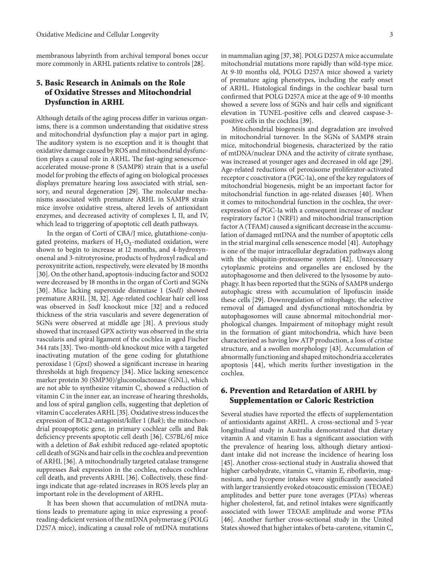membranous labyrinth from archival temporal bones occur more commonly in ARHL patients relative to controls [28].

## **5. Basic Research in Animals on the Role of Oxidative Stresses and Mitochondrial Dysfunction in ARHL**

Although details of the aging process differ in various organisms, there is a common understanding that oxidative stress and mitochondrial dysfunction play a major part in aging. The auditory system is no exception and it is thought that oxidative damage caused by ROS and mitochondrial dysfunction plays a causal role in ARHL. The fast-aging senescenceaccelerated mouse-prone 8 (SAMP8) strain that is a useful model for probing the effects of aging on biological processes displays premature hearing loss associated with strial, sensory, and neural degeneration [29]. The molecular mechanisms associated with premature ARHL in SAMP8 strain mice involve oxidative stress, altered levels of antioxidant enzymes, and decreased activity of complexes I, II, and IV, which lead to triggering of apoptotic cell death pathways.

In the organ of Corti of CBA/J mice, glutathione-conjugated proteins, markers of  $H_2O_2$ -mediated oxidation, were shown to begin to increase at 12 months, and 4-hydroxynonenal and 3-nitrotyrosine, products of hydroxyl radical and peroxynitrite action, respectively, were elevated by 18 months [30]. On the other hand, apoptosis-inducing factor and SOD2 were decreased by 18 months in the organ of Corti and SGNs [30]. Mice lacking superoxide dismutase 1 (*Sod1*) showed premature ARHL [31, 32]. Age-related cochlear hair cell loss was observed in *Sod1* knockout mice [32] and a reduced thickness of the stria vascularis and severe degeneration of SGNs were observed at middle age [31]. A previous study showed that increased GPX activity was observed in the stria vascularis and spiral ligament of the cochlea in aged Fischer 344 rats [33]. Two-month-old knockout mice with a targeted inactivating mutation of the gene coding for glutathione peroxidase 1 (*Gpx1*) showed a significant increase in hearing thresholds at high frequency [34]. Mice lacking senescence marker protein 30 (SMP30)/gluconolactonase (GNL), which are not able to synthesize vitamin C, showed a reduction of vitamin C in the inner ear, an increase of hearing thresholds, and loss of spiral ganglion cells, suggesting that depletion of vitamin C accelerates ARHL [35]. Oxidative stress induces the expression of BCL2-antagonist/killer 1 (*Bak*); the mitochondrial proapoptotic gene, in primary cochlear cells and Bak deficiency prevents apoptotic cell death [36]. C57BL/6J mice with a deletion of *Bak* exhibit reduced age-related apoptotic cell death of SGNs and hair cells in the cochlea and prevention of ARHL [36]. A mitochondrially targeted catalase transgene suppresses *Bak* expression in the cochlea, reduces cochlear cell death, and prevents ARHL [36]. Collectively, these findings indicate that age-related increases in ROS levels play an important role in the development of ARHL.

It has been shown that accumulation of mtDNA mutations leads to premature aging in mice expressing a proofreading-deficient version of the mtDNA polymerase g (POLG D257A mice), indicating a causal role of mtDNA mutations in mammalian aging [37, 38]. POLG D257A mice accumulate mitochondrial mutations more rapidly than wild-type mice. At 9-10 months old, POLG D257A mice showed a variety of premature aging phenotypes, including the early onset of ARHL. Histological findings in the cochlear basal turn confirmed that POLG D257A mice at the age of 9-10 months showed a severe loss of SGNs and hair cells and significant elevation in TUNEL-positive cells and cleaved caspase-3 positive cells in the cochlea [39].

Mitochondrial biogenesis and degradation are involved in mitochondrial turnover. In the SGNs of SAMP8 strain mice, mitochondrial biogenesis, characterized by the ratio of mtDNA/nuclear DNA and the activity of citrate synthase, was increased at younger ages and decreased in old age [29]. Age-related reductions of peroxisome proliferator-activated receptor c coactivator a (PGC-1a), one of the key regulators of mitochondrial biogenesis, might be an important factor for mitochondrial function in age-related diseases [40]. When it comes to mitochondrial function in the cochlea, the overexpression of PGC-1a with a consequent increase of nuclear respiratory factor 1 (NRF1) and mitochondrial transcription factor A (TFAM) caused a significant decrease in the accumulation of damaged mtDNA and the number of apoptotic cells in the strial marginal cells senescence model [41]. Autophagy is one of the major intracellular degradation pathways along with the ubiquitin-proteasome system [42]. Unnecessary cytoplasmic proteins and organelles are enclosed by the autophagosome and then delivered to the lysosome by autophagy. It has been reported that the SGNs of SAMP8 undergo autophagic stress with accumulation of lipofuscin inside these cells [29]. Downregulation of mitophagy, the selective removal of damaged and dysfunctional mitochondria by autophagosomes will cause abnormal mitochondrial morphological changes. Impairment of mitophagy might result in the formation of giant mitochondria, which have been characterized as having low ATP production, a loss of cristae structure, and a swollen morphology [43]. Accumulation of abnormally functioning and shaped mitochondria accelerates apoptosis [44], which merits further investigation in the cochlea.

## **6. Prevention and Retardation of ARHL by Supplementation or Caloric Restriction**

Several studies have reported the effects of supplementation of antioxidants against ARHL. A cross-sectional and 5-year longitudinal study in Australia demonstrated that dietary vitamin A and vitamin E has a significant association with the prevalence of hearing loss, although dietary antioxidant intake did not increase the incidence of hearing loss [45]. Another cross-sectional study in Australia showed that higher carbohydrate, vitamin C, vitamin E, riboflavin, magnesium, and lycopene intakes were significantly associated with larger transiently evoked otoacoustic emission (TEOAE) amplitudes and better pure tone averages (PTAs) whereas higher cholesterol, fat, and retinol intakes were significantly associated with lower TEOAE amplitude and worse PTAs [46]. Another further cross-sectional study in the United States showed that higher intakes of beta-carotene, vitamin C,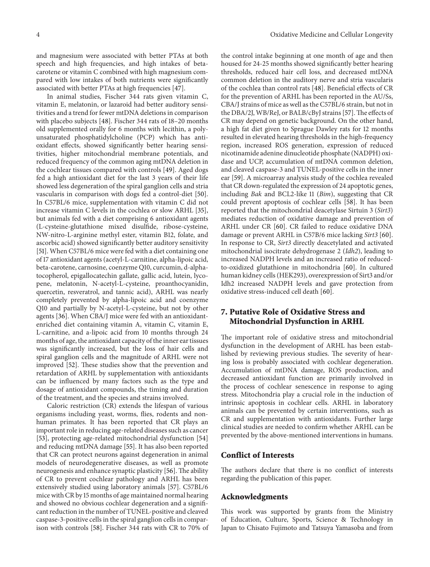and magnesium were associated with better PTAs at both speech and high frequencies, and high intakes of betacarotene or vitamin C combined with high magnesium compared with low intakes of both nutrients were significantly associated with better PTAs at high frequencies [47].

In animal studies, Fischer 344 rats given vitamin C, vitamin E, melatonin, or lazaroid had better auditory sensitivities and a trend for fewer mtDNA deletions in comparison with placebo subjects [48]. Fischer 344 rats of 18–20 months old supplemented orally for 6 months with lecithin, a polyunsaturated phosphatidylcholine (PCP) which has antioxidant effects, showed significantly better hearing sensitivities, higher mitochondrial membrane potentials, and reduced frequency of the common aging mtDNA deletion in the cochlear tissues compared with controls [49]. Aged dogs fed a high antioxidant diet for the last 3 years of their life showed less degeneration of the spiral ganglion cells and stria vascularis in comparison with dogs fed a control-diet [50]. In C57BL/6 mice, supplementation with vitamin C did not increase vitamin C levels in the cochlea or slow ARHL [35], but animals fed with a diet comprising 6 antioxidant agents (L-cysteine-glutathione mixed disulfide, ribose-cysteine, NW-nitro-L-arginine methyl ester, vitamin B12, folate, and ascorbic acid) showed significantly better auditory sensitivity [51]. When C57BL/6 mice were fed with a diet containing one of 17 antioxidant agents (acetyl-L-carnitine, alpha-lipoic acid, beta-carotene, carnosine, coenzyme Q10, curcumin, d-alphatocopherol, epigallocatechin gallate, gallic acid, lutein, lycopene, melatonin, N-acetyl-L-cysteine, proanthocyanidin, quercetin, resveratrol, and tannic acid), ARHL was nearly completely prevented by alpha-lipoic acid and coenzyme Q10 and partially by N-acetyl-L-cysteine, but not by other agents [36]. When CBA/J mice were fed with an antioxidantenriched diet containing vitamin A, vitamin C, vitamin E, L-carnitine, and a-lipoic acid from 10 months through 24 months of age, the antioxidant capacity of the inner ear tissues was significantly increased, but the loss of hair cells and spiral ganglion cells and the magnitude of ARHL were not improved [52]. These studies show that the prevention and retardation of ARHL by supplementation with antioxidants can be influenced by many factors such as the type and dosage of antioxidant compounds, the timing and duration of the treatment, and the species and strains involved.

Caloric restriction (CR) extends the lifespan of various organisms including yeast, worms, flies, rodents and nonhuman primates. It has been reported that CR plays an important role in reducing age-related diseases such as cancer [53], protecting age-related mitochondrial dysfunction [54] and reducing mtDNA damage [55]. It has also been reported that CR can protect neurons against degeneration in animal models of neurodegenerative diseases, as well as promote neurogenesis and enhance synaptic plasticity [56]. The ability of CR to prevent cochlear pathology and ARHL has been extensively studied using laboratory animals [57]. C57BL/6 mice with CR by 15 months of age maintained normal hearing and showed no obvious cochlear degeneration and a significant reduction in the number of TUNEL-positive and cleaved caspase-3-positive cells in the spiral ganglion cells in comparison with controls [58]. Fischer 344 rats with CR to 70% of the control intake beginning at one month of age and then housed for 24-25 months showed significantly better hearing thresholds, reduced hair cell loss, and decreased mtDNA common deletion in the auditory nerve and stria vascularis of the cochlea than control rats [48]. Beneficial effects of CR for the prevention of ARHL has been reported in the AU/Ss, CBA/J strains of mice as well as the C57BL/6 strain, but not in the DBA/2J,WB/ReJ, or BALB/cByJ strains [57].The effects of CR may depend on genetic background. On the other hand, a high fat diet given to Sprague Dawley rats for 12 months resulted in elevated hearing thresholds in the high-frequency region, increased ROS generation, expression of reduced nicotinamide adenine dinucleotide phosphate (NADPH) oxidase and UCP, accumulation of mtDNA common deletion, and cleaved caspase-3 and TUNEL-positive cells in the inner ear [59]. A microarray analysis study of the cochlea revealed that CR down-regulated the expression of 24 apoptotic genes, including *Bak* and BCL2-like 11 (*Bim*), suggesting that CR could prevent apoptosis of cochlear cells [58]. It has been reported that the mitochondrial deacetylase Sirtuin 3 (*Sirt3*) mediates reduction of oxidative damage and prevention of ARHL under CR [60]. CR failed to reduce oxidative DNA damage or prevent ARHL in C57B/6 mice lacking *Sirt3* [60]. In response to CR, *Sirt3* directly deacetylated and activated mitochondrial isocitrate dehydrogenase 2 (*Idh2*), leading to increased NADPH levels and an increased ratio of reducedto-oxidized glutathione in mitochondria [60]. In cultured human kidney cells (HEK293), overexpression of Sirt3 and/or Idh2 increased NADPH levels and gave protection from oxidative stress-induced cell death [60].

## **7. Putative Role of Oxidative Stress and Mitochondrial Dysfunction in ARHL**

The important role of oxidative stress and mitochondrial dysfunction in the development of ARHL has been established by reviewing previous studies. The severity of hearing loss is probably associated with cochlear degeneration. Accumulation of mtDNA damage, ROS production, and decreased antioxidant function are primarily involved in the process of cochlear senescence in response to aging stress. Mitochondria play a crucial role in the induction of intrinsic apoptosis in cochlear cells. ARHL in laboratory animals can be prevented by certain interventions, such as CR and supplementation with antioxidants. Further large clinical studies are needed to confirm whether ARHL can be prevented by the above-mentioned interventions in humans.

#### **Conflict of Interests**

The authors declare that there is no conflict of interests regarding the publication of this paper.

#### **Acknowledgments**

This work was supported by grants from the Ministry of Education, Culture, Sports, Science & Technology in Japan to Chisato Fujimoto and Tatsuya Yamasoba and from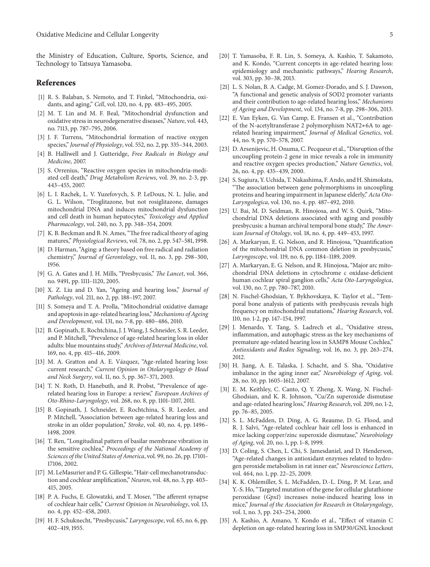the Ministry of Education, Culture, Sports, Science, and Technology to Tatsuya Yamasoba.

#### **References**

- [1] R. S. Balaban, S. Nemoto, and T. Finkel, "Mitochondria, oxidants, and aging," *Cell*, vol. 120, no. 4, pp. 483–495, 2005.
- [2] M. T. Lin and M. F. Beal, "Mitochondrial dysfunction and oxidative stress in neurodegenerative diseases," *Nature*, vol. 443, no. 7113, pp. 787–795, 2006.
- [3] J. F. Turrens, "Mitochondrial formation of reactive oxygen species," *Journal of Physiology*, vol. 552, no. 2, pp. 335–344, 2003.
- [4] B. Halliwell and J. Gutteridge, *Free Radicals in Biology and Medicine*, 2007.
- [5] S. Orrenius, "Reactive oxygen species in mitochondria-mediated cell death," *Drug Metabolism Reviews*, vol. 39, no. 2-3, pp. 443–455, 2007.
- [6] L. I. Rachek, L. V. Yuzefovych, S. P. LeDoux, N. L. Julie, and G. L. Wilson, "Troglitazone, but not rosiglitazone, damages mitochondrial DNA and induces mitochondrial dysfunction and cell death in human hepatocytes," *Toxicology and Applied Pharmacology*, vol. 240, no. 3, pp. 348–354, 2009.
- [7] K. B. Beckman and B. N. Ames, "The free radical theory of aging matures," *Physiological Reviews*, vol. 78, no. 2, pp. 547–581, 1998.
- [8] D. Harman, "Aging: a theory based on free radical and radiation chemistry," *Journal of Gerontology*, vol. 11, no. 3, pp. 298–300, 1956.
- [9] G. A. Gates and J. H. Mills, "Presbycusis," *The Lancet*, vol. 366, no. 9491, pp. 1111–1120, 2005.
- [10] X. Z. Liu and D. Yan, "Ageing and hearing loss," *Journal of Pathology*, vol. 211, no. 2, pp. 188–197, 2007.
- [11] S. Someya and T. A. Prolla, "Mitochondrial oxidative damage and apoptosis in age-related hearing loss," *Mechanisms of Ageing and Development*, vol. 131, no. 7-8, pp. 480–486, 2010.
- [12] B. Gopinath, E. Rochtchina, J. J. Wang, J. Schneider, S. R. Leeder, and P. Mitchell, "Prevalence of age-related hearing loss in older adults: blue mountains study," *Archives of Internal Medicine*, vol. 169, no. 4, pp. 415–416, 2009.
- [13] M. A. Gratton and A. E. Vázquez, "Age-related hearing loss: current research," *Current Opinion in Otolaryngology & Head and Neck Surgery*, vol. 11, no. 5, pp. 367–371, 2003.
- [14] T. N. Roth, D. Hanebuth, and R. Probst, "Prevalence of agerelated hearing loss in Europe: a review," *European Archives of Oto-Rhino-Laryngology*, vol. 268, no. 8, pp. 1101–1107, 2011.
- [15] B. Gopinath, J. Schneider, E. Rochtchina, S. R. Leeder, and P. Mitchell, "Association between age-related hearing loss and stroke in an older population," *Stroke*, vol. 40, no. 4, pp. 1496– 1498, 2009.
- [16] T. Ren, "Longitudinal pattern of basilar membrane vibration in the sensitive cochlea," *Proceedings of the National Academy of Sciences of the United States of America*, vol. 99, no. 26, pp. 17101– 17106, 2002.
- [17] M. LeMasurier and P. G. Gillespie, "Hair-cell mechanotransduction and cochlear amplification," *Neuron*, vol. 48, no. 3, pp. 403– 415, 2005.
- [18] P. A. Fuchs, E. Glowatzki, and T. Moser, "The afferent synapse of cochlear hair cells," *Current Opinion in Neurobiology*, vol. 13, no. 4, pp. 452–458, 2003.
- [19] H. F. Schuknecht, "Presbycusis," *Laryngoscope*, vol. 65, no. 6, pp. 402–419, 1955.
- [20] T. Yamasoba, F. R. Lin, S. Someya, A. Kashio, T. Sakamoto, and K. Kondo, "Current concepts in age-related hearing loss: epidemiology and mechanistic pathways," *Hearing Research*, vol. 303, pp. 30–38, 2013.
- [21] L. S. Nolan, B. A. Cadge, M. Gomez-Dorado, and S. J. Dawson, "A functional and genetic analysis of SOD2 promoter variants and their contribution to age-related hearing loss," *Mechanisms of Ageing and Development*, vol. 134, no. 7-8, pp. 298–306, 2013.
- [22] E. Van Eyken, G. Van Camp, E. Fransen et al., "Contribution of the N-acetyltransferase 2 polymorphism NAT2∗6A to agerelated hearing impairment," *Journal of Medical Genetics*, vol. 44, no. 9, pp. 570–578, 2007.
- [23] D. Arsenijevic, H. Onuma, C. Pecqueur et al., "Disruption of the uncoupling protein-2 gene in mice reveals a role in immunity and reactive oxygen species production," *Nature Genetics*, vol. 26, no. 4, pp. 435–439, 2000.
- [24] S. Sugiura, Y. Uchida, T. Nakashima, F. Ando, and H. Shimokata, "The association between gene polymorphisms in uncoupling proteins and hearing impairment in Japanese elderly," *Acta Oto-Laryngologica*, vol. 130, no. 4, pp. 487–492, 2010.
- [25] U. Bai, M. D. Seidman, R. Hinojosa, and W. S. Quirk, "Mitochondrial DNA deletions associated with aging and possibly presbycusis: a human archival temporal bone study," *The American Journal of Otology*, vol. 18, no. 4, pp. 449–453, 1997.
- [26] A. Markaryan, E. G. Nelson, and R. Hinojosa, "Quantification of the mitochondrial DNA common deletion in presbycusis," *Laryngoscope*, vol. 119, no. 6, pp. 1184–1189, 2009.
- [27] A. Markaryan, E. G. Nelson, and R. Hinojosa, "Major arc mitochondrial DNA deletions in cytochrome c oxidase-deficient human cochlear spiral ganglion cells," *Acta Oto-Laryngologica*, vol. 130, no. 7, pp. 780–787, 2010.
- [28] N. Fischel-Ghodsian, Y. Bykhovskaya, K. Taylor et al., "Temporal bone analysis of patients with presbycusis reveals high frequency on mitochondrial mutations," *Hearing Research*, vol. 110, no. 1-2, pp. 147–154, 1997.
- [29] J. Menardo, Y. Tang, S. Ladrech et al., "Oxidative stress, inflammation, and autophagic stress as the key mechanisms of premature age-related hearing loss in SAMP8 Mouse Cochlea," *Antioxidants and Redox Signaling*, vol. 16, no. 3, pp. 263–274, 2012.
- [30] H. Jiang, A. E. Talaska, J. Schacht, and S. Sha, "Oxidative imbalance in the aging inner ear," *Neurobiology of Aging*, vol. 28, no. 10, pp. 1605–1612, 2007.
- [31] E. M. Keithley, C. Canto, Q. Y. Zheng, X. Wang, N. Fischel-Ghodsian, and K. R. Johnson, "Cu/Zn superoxide dismutase and age-related hearing loss," *Hearing Research*, vol. 209, no. 1-2, pp. 76–85, 2005.
- [32] S. L. McFadden, D. Ding, A. G. Reaume, D. G. Flood, and R. J. Salvi, "Age-related cochlear hair cell loss is enhanced in mice lacking copper/zinc superoxide dismutase," *Neurobiology of Aging*, vol. 20, no. 1, pp. 1–8, 1999.
- [33] D. Coling, S. Chen, L. Chi, S. Jamesdaniel, and D. Henderson, "Age-related changes in antioxidant enzymes related to hydrogen peroxide metabolism in rat inner ear," *Neuroscience Letters*, vol. 464, no. 1, pp. 22–25, 2009.
- [34] K. K. Ohlemiller, S. L. McFadden, D.-L. Ding, P. M. Lear, and Y.-S. Ho, "Targeted mutation of the gene for cellular glutathione peroxidase (*Gpx1*) increases noise-induced hearing loss in mice," *Journal of the Association for Research in Otolaryngology*, vol. 1, no. 3, pp. 243–254, 2000.
- [35] A. Kashio, A. Amano, Y. Kondo et al., "Effect of vitamin C depletion on age-related hearing loss in SMP30/GNL knockout